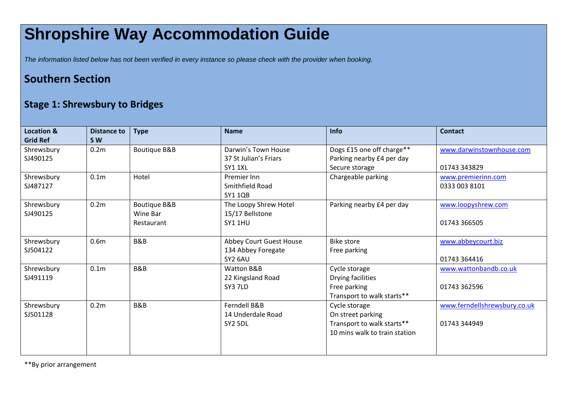## **Shropshire Way Accommodation Guide**

*The information listed below has not been verified in every instance so please check with the provider when booking.*

## **Southern Section**

## **Stage 1: Shrewsbury to Bridges**

| <b>Location &amp;</b><br><b>Grid Ref</b> | <b>Distance to</b><br><b>SW</b> | <b>Type</b>                                       | <b>Name</b>                                                | <b>Info</b>                                                                                       | <b>Contact</b>                               |
|------------------------------------------|---------------------------------|---------------------------------------------------|------------------------------------------------------------|---------------------------------------------------------------------------------------------------|----------------------------------------------|
| Shrewsbury<br>SJ490125                   | 0.2 <sub>m</sub>                | <b>Boutique B&amp;B</b>                           | Darwin's Town House<br>37 St Julian's Friars<br>SY1 1XL    | Dogs £15 one off charge**<br>Parking nearby £4 per day<br>Secure storage                          | www.darwinstownhouse.com<br>01743 343829     |
| Shrewsbury<br>SJ487127                   | 0.1 <sub>m</sub>                | Hotel                                             | Premier Inn<br>Smithfield Road<br><b>SY1 1QB</b>           | Chargeable parking                                                                                | www.premierinn.com<br>0333 003 8101          |
| Shrewsbury<br>SJ490125                   | 0.2 <sub>m</sub>                | <b>Boutique B&amp;B</b><br>Wine Bar<br>Restaurant | The Loopy Shrew Hotel<br>15/17 Bellstone<br><b>SY1 1HU</b> | Parking nearby £4 per day                                                                         | www.loopyshrew.com<br>01743 366505           |
| Shrewsbury<br>SJ504122                   | 0.6 <sub>m</sub>                | B&B                                               | Abbey Court Guest House<br>134 Abbey Foregate<br>SY2 6AU   | <b>Bike store</b><br>Free parking                                                                 | www.abbeycourt.biz<br>01743 364416           |
| Shrewsbury<br>SJ491119                   | 0.1 <sub>m</sub>                | B&B                                               | <b>Watton B&amp;B</b><br>22 Kingsland Road<br>SY3 7LD      | Cycle storage<br>Drying facilities<br>Free parking<br>Transport to walk starts**                  | www.wattonbandb.co.uk<br>01743 362596        |
| Shrewsbury<br>SJ501128                   | 0.2 <sub>m</sub>                | B&B                                               | Ferndell B&B<br>14 Underdale Road<br>SY <sub>2</sub> 5DL   | Cycle storage<br>On street parking<br>Transport to walk starts**<br>10 mins walk to train station | www.ferndellshrewsbury.co.uk<br>01743 344949 |

\*\*By prior arrangement